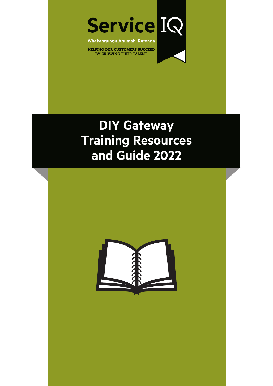

Whakangungu Ahumahi Ratonga

**HELPING OUR CUSTOMERS SUCCEED** BY GROWING THEIR TALENT

# **DIY Gateway Training Resources and Guide 2022**

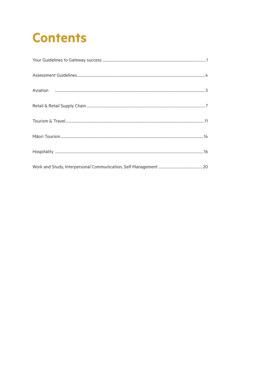# **Contents**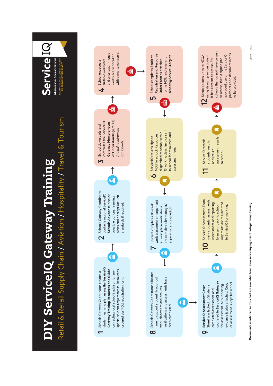

Documents mentioned in this chart are available here: www.serviceiq.org.nz/schools/gateway-training **Documents mentioned in this chart are available here: www.serviceiq.org.nz/schools/gateway-training**

Edition  $3 -$  Jan22 Edition 3 – Jan22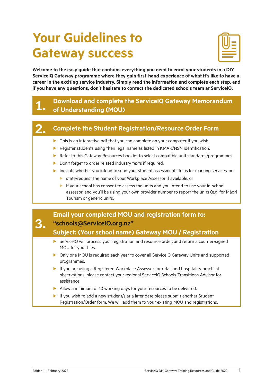# <span id="page-3-0"></span>**Your Guidelines to Gateway success**



**Welcome to the easy guide that contains everything you need to enrol your students in a DIY ServiceIQ Gateway programme where they gain first-hand experience of what it's like to have a career in the exciting service industry. Simply read the information and complete each step, and if you have any questions, don't hesitate to contact the dedicated schools team at ServiceIQ.** 

### 1. **Download and complete the ServiceIQ Gateway Memorandum of Understanding (MOU)**

# 2. **Complete the Student Registration/Resource Order Form**

- $\blacktriangleright$  This is an interactive pdf that you can complete on your computer if you wish.
- $\blacktriangleright$  Register students using their legal name as listed in KMAR/NSN identification.
- Refer to this Gateway Resources booklet to select compatible unit standards/programmes.
- $\triangleright$  Don't forget to order related industry texts if required.
- $\blacktriangleright$  Indicate whether you intend to send your student assessments to us for marking services, or:
	- $\blacktriangleright$  state/request the name of your Workplace Assessor if available, or
	- $\triangleright$  if your school has consent to assess the units and you intend to use your in-school assessor, and you'll be using your own provider number to report the units (e.g. for Māori Tourism or generic units).

### **Email your completed MOU and registration form to: "schools@ServiceIQ.org.nz"**

### **Subject: (Your school name) Gateway MOU / Registration**

- ▶ ServiceIQ will process your registration and resource order, and return a counter-signed MOU for your files.
- ▶ Only one MOU is required each year to cover all ServiceIQ Gateway Units and supported programmes.
- $\blacktriangleright$  If you are using a Registered Workplace Assessor for retail and hospitality practical observations, please contact your regional ServiceIQ Schools Transitions Advisor for assistance.
- $\blacktriangleright$  Allow a minimum of 10 working days for your resources to be delivered.
- If you wish to add a new student/s at a later date please submit another Student Registration/Order form. We will add them to your existing MOU and registrations.

3.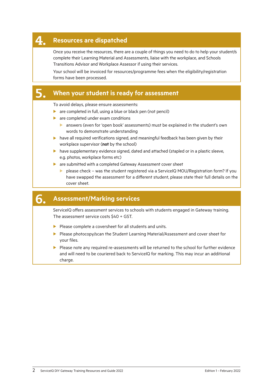### 4. **Resources are dispatched**

Once you receive the resources, there are a couple of things you need to do to help your student/s complete their Learning Material and Assessments, liaise with the workplace, and Schools Transitions Advisor and Workplace Assessor if using their services.

Your school will be invoiced for resources/programme fees when the eligibility/registration forms have been processed.

#### 5. **When your student is ready for assessment**

To avoid delays, please ensure assessments:

- $\triangleright$  are completed in full, using a blue or black pen (not pencil)
- $\blacktriangleright$  are completed under exam conditions
	- **D** answers (even for 'open book' assessments) must be explained in the student's own words to demonstrate understanding
- $\blacktriangleright$  have all required verifications signed, and meaningful feedback has been given by their workplace supervisor (**not** by the school)
- $\blacktriangleright$  have supplementary evidence signed, dated and attached (stapled or in a plastic sleeve, e.g. photos, workplace forms etc)
- $\blacktriangleright$  are submitted with a completed Gateway Assessment cover sheet
	- $\triangleright$  please check was the student registered via a ServiceIQ MOU/Registration form? If you have swapped the assessment for a different student, please state their full details on the cover sheet.

## 6. **Assessment/Marking services**

ServiceIQ offers assessment services to schools with students engaged in Gateway training. The assessment service costs \$40 + GST.

- $\blacktriangleright$  Please complete a coversheet for all students and units.
- ▶ Please photocopy/scan the Student Learning Material/Assessment and cover sheet for your files.
- **EXECUTE:** Please note any required re-assessments will be returned to the school for further evidence and will need to be couriered back to ServiceIQ for marking. This may incur an additional charge.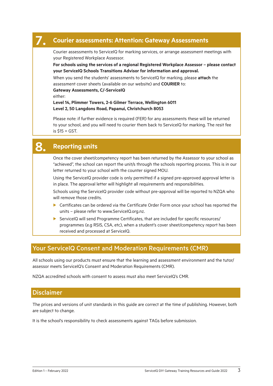#### 7. **Courier assessments: Attention: Gateway Assessments**

Courier assessments to ServiceIQ for marking services, or arrange assessment meetings with your Registered Workplace Assessor.

**For schools using the services of a regional Registered Workplace Assessor – please contact your ServiceIQ Schools Transitions Advisor for information and approval.**

When you send the students' assessments to ServiceIQ for marking, please **attach** the assessment cover sheets (available on our website) and **COURIER** to:

**Gateway Assessments, C/-ServiceIQ**

either:

**Level 14, Plimmer Towers, 2-6 Gilmer Terrace, Wellington 6011 Level 2, 50 Langdons Road, Papanui, Christchurch 8053**

Please note: if further evidence is required (FER) for any assessments these will be returned to your school, and you will need to courier them back to ServiceIQ for marking. The resit fee is \$15 + GST.

## 8. **Reporting units**

Once the cover sheet/competency report has been returned by the Assessor to your school as "achieved", the school can report the unit/s through the schools reporting process. This is in our letter returned to your school with the counter signed MOU.

Using the ServiceIQ provider code is only permitted if a signed pre-approved approval letter is in place. The approval letter will highlight all requirements and responsibilities.

Schools using the ServiceIQ provider code without pre-approval will be reported to NZQA who will remove those credits.

- $\blacktriangleright$  Certificates can be ordered via the Certificate Order Form once your school has reported the units – please refer to www.ServiceIQ.org.nz.
- $\triangleright$  ServiceIQ will send Programme Certificates, that are included for specific resources/ programmes (e.g RSIS, CSA, etc), when a student's cover sheet/competency report has been received and processed at ServiceIQ.

#### Your ServiceIQ Consent and Moderation Requirements (CMR)

All schools using our products must ensure that the learning and assessment environment and the tutor/ assessor meets ServiceIQ's Consent and Moderation Requirements (CMR).

NZQA accredited schools with consent to assess must also meet ServiceIQ's CMR.

#### Disclaimer

The prices and versions of unit standards in this guide are correct at the time of publishing. However, both are subject to change.

It is the school's responsibility to check assessments against TAGs before submission.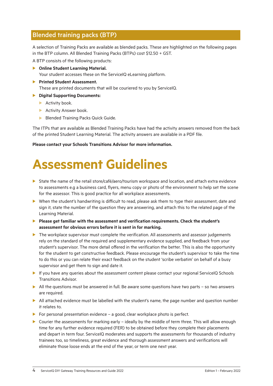#### <span id="page-6-0"></span>Blended training packs (BTP)

A selection of Training Packs are available as blended packs. These are highlighted on the following pages in the BTP column. All Blended Training Packs (BTPs) cost \$12.50 + GST.

A BTP consists of the following products:

**Dime Student Learning Material.** 

Your student accesses these on the ServiceIQ eLearning platform.

- **Printed Student Assessment.** These are printed documents that will be couriered to you by ServiceIQ.
- **Digital Supporting Documents:** 
	- $\blacktriangleright$  Activity book.
	- $\blacktriangleright$  Activity Answer book.
	- **Blended Training Packs Quick Guide.**

The ITPs that are available as Blended Training Packs have had the activity answers removed from the back of the printed Student Learning Material. The activity answers are available in a PDF file.

**Please contact your Schools Transitions Advisor for more information.** 

# **Assessment Guidelines**

- State the name of the retail store/café/aero/tourism workspace and location, and attach extra evidence to assessments e.g a business card, flyers, menu copy or photo of the environment to help set the scene for the assessor. This is good practice for all workplace assessments.
- ▶ When the student's handwriting is difficult to read, please ask them to type their assessment, date and sign it, state the number of the question they are answering, and attach this to the related page of the Learning Material.
- **Please get familiar with the assessment and verification requirements. Check the student's assessment for obvious errors before it is sent in for marking.**
- $\blacktriangleright$  The workplace supervisor must complete the verification. All assessments and assessor judgements rely on the standard of the required and supplementary evidence supplied, and feedback from your student's supervisor. The more detail offered in the verification the better. This is also the opportunity for the student to get constructive feedback. Please encourage the student's supervisor to take the time to do this or you can relate their exact feedback on the student 'scribe verbatim' on behalf of a busy supervisor and get them to sign and date it.
- ▶ If you have any queries about the assessment content please contact your regional ServiceIQ Schools Transitions Advisor.
- $\blacktriangleright$  All the questions must be answered in full. Be aware some questions have two parts so two answers are required.
- All attached evidence must be labelled with the student's name, the page number and question number it relates to.
- For personal presentation evidence a good, clear workplace photo is perfect.
- $\triangleright$  Courier the assessments for marking early ideally by the middle of term three. This will allow enough time for any further evidence required (FER) to be obtained before they complete their placements and depart in term four. ServiceIQ moderates and supports the assessments for thousands of industry trainees too, so timeliness, great evidence and thorough assessment answers and verifications will eliminate those loose ends at the end of the year, or term one next year.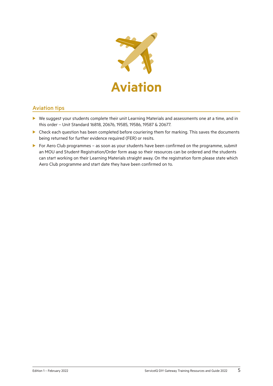

#### <span id="page-7-0"></span>Aviation tips

- $\triangleright$  We suggest your students complete their unit Learning Materials and assessments one at a time, and in this order – Unit Standard 16818, 20676, 19585, 19586, 19587 & 20677.
- $\blacktriangleright$  Check each question has been completed before couriering them for marking. This saves the documents being returned for further evidence required (FER) or resits.
- ▶ For Aero Club programmes as soon as your students have been confirmed on the programme, submit an MOU and Student Registration/Order form asap so their resources can be ordered and the students can start working on their Learning Materials straight away. On the registration form please state which Aero Club programme and start date they have been confirmed on to.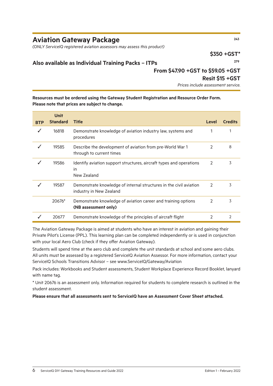### **Aviation Gateway Package <sup>243</sup>**

*(ONLY ServiceIQ registered aviation assessors may assess this product)*

**\$350 +GST\***

#### **Also available as Individual Training Packs – ITPs 279**

#### **From \$47.90 +GST to \$59.05 +GST**

#### **Resit \$15 +GST**

*Prices include assessment service.*

#### **Resources must be ordered using the Gateway Student Registration and Resource Order Form. Please note that prices are subject to change.**

| <b>BTP</b> | <b>Unit</b><br><b>Standard</b> | <b>Title</b>                                                                                  | Level         | <b>Credits</b> |
|------------|--------------------------------|-----------------------------------------------------------------------------------------------|---------------|----------------|
|            | 16818                          | Demonstrate knowledge of aviation industry law, systems and<br>procedures                     |               |                |
|            | 19585                          | Describe the development of aviation from pre-World War 1<br>through to current times         | 2             | 8              |
|            | 19586                          | Identify aviation support structures, aircraft types and operations<br>in<br>New Zealand      | $\mathcal{P}$ | 3              |
|            | 19587                          | Demonstrate knowledge of internal structures in the civil aviation<br>industry in New Zealand | 2             | 3              |
|            | 20676*                         | Demonstrate knowledge of aviation career and training options<br>(NB assessment only)         | 2             | 3              |
|            | 20677                          | Demonstrate knowledge of the principles of aircraft flight                                    | 2             | $\mathcal{P}$  |

The Aviation Gateway Package is aimed at students who have an interest in aviation and gaining their Private Pilot's License (PPL). This learning plan can be completed independently or is used in conjunction with your local Aero Club (check if they offer Aviation Gateway).

Students will spend time at the aero club and complete the unit standards at school and some aero clubs. All units must be assessed by a registered ServiceIQ Aviation Assessor. For more information, contact your ServiceIQ Schools Transitions Advisor – see www.ServiceIQ/Gateway/Aviation

Pack includes: Workbooks and Student assessments, Student Workplace Experience Record Booklet, lanyard with name tag.

\* Unit 20676 is an assessment only. Information required for students to complete research is outlined in the student assessment.

**Please ensure that all assessments sent to ServiceIQ have an Assessment Cover Sheet attached.**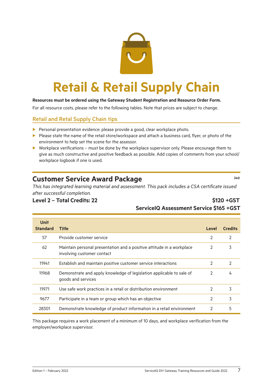

# <span id="page-9-0"></span>**Retail & Retail Supply Chain**

#### **Resources must be ordered using the Gateway Student Registration and Resource Order Form.**

For all resource costs, please refer to the following tables. Note that prices are subject to change.

#### Retail and Retal Supply Chain tips

- $\blacktriangleright$  Personal presentation evidence: please provide a good, clear workplace photo.
- $\blacktriangleright$  Please state the name of the retail store/workspace and attach a business card, flyer, or photo of the environment to help set the scene for the assessor.
- $\triangleright$  Workplace verifications must be done by the workplace supervisor only. Please encourage them to give as much constructive and positive feedback as possible. Add copies of comments from your school/ workplace logbook if one is used.

### **Customer Service Award Package <sup>240</sup>**

*This has integrated learning material and assessment. This pack includes a CSA certificate issued after successful completion.*

#### **Level 2 – Total Credits: 22 \$120 +GST**

# **ServiceIQ Assessment Service \$165 +GST**

| <b>Unit</b>     |                                                                                                     |               |                |
|-----------------|-----------------------------------------------------------------------------------------------------|---------------|----------------|
| <b>Standard</b> | <b>Title</b>                                                                                        | Level         | <b>Credits</b> |
| 57              | Provide customer service                                                                            | $\mathcal{P}$ | $\mathcal{P}$  |
| 62              | Maintain personal presentation and a positive attitude in a workplace<br>involving customer contact | $\mathcal{P}$ | 3              |
| 11941           | Establish and maintain positive customer service interactions                                       | $\mathcal{P}$ | $\mathcal{P}$  |
| 11968           | Demonstrate and apply knowledge of legislation applicable to sale of<br>goods and services          | $\mathcal{P}$ | 4              |
| 11971           | Use safe work practices in a retail or distribution environment                                     | $\mathcal{P}$ | 3              |
| 9677            | Participate in a team or group which has an objective                                               | $\mathcal{P}$ | 3              |
| 28301           | Demonstrate knowledge of product information in a retail environment                                | $\mathcal{P}$ | 5              |

This package requires a work placement of a minimum of 10 days, and workplace verification from the employer/workplace supervisor.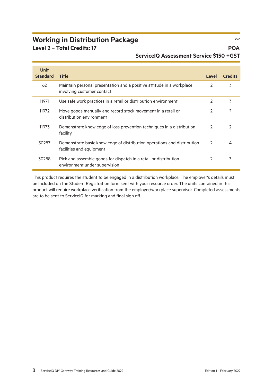# **Working in Distribution Package <sup>252</sup>**

**Level 2 – Total Credits: 17 POA**

### **ServiceIQ Assessment Service \$150 +GST**

| <b>Unit</b>     |                                                                                                     |               |                |
|-----------------|-----------------------------------------------------------------------------------------------------|---------------|----------------|
| <b>Standard</b> | <b>Title</b>                                                                                        | <b>Level</b>  | <b>Credits</b> |
| 62              | Maintain personal presentation and a positive attitude in a workplace<br>involving customer contact | 2             | 3              |
| 11971           | Use safe work practices in a retail or distribution environment                                     | $\mathcal{P}$ | 3              |
| 11972           | Move goods manually and record stock movement in a retail or<br>distribution environment            | 2             | 2              |
| 11973           | Demonstrate knowledge of loss prevention techniques in a distribution<br>facility                   | $\mathcal{P}$ | 2              |
| 30287           | Demonstrate basic knowledge of distribution operations and distribution<br>facilities and equipment | $\mathcal{P}$ | 4              |
| 30288           | Pick and assemble goods for dispatch in a retail or distribution<br>environment under supervision   |               | 3              |

This product requires the student to be engaged in a distribution workplace. The employer's details must be included on the Student Registration form sent with your resource order. The units contained in this product will require workplace verification from the employer/workplace supervisor. Completed assessments are to be sent to ServiceIQ for marking and final sign off.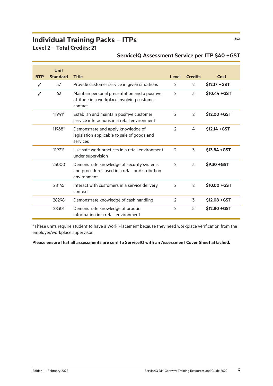# **Individual Training Packs – ITPs <sup>242</sup>**

**Level 2 – Total Credits: 21**

|            | <b>Unit</b>     |                                                                                                             |               |                |                |
|------------|-----------------|-------------------------------------------------------------------------------------------------------------|---------------|----------------|----------------|
| <b>BTP</b> | <b>Standard</b> | <b>Title</b>                                                                                                | Level         | <b>Credits</b> | Cost           |
|            | 57              | Provide customer service in given situations                                                                | 2             | $\mathcal{L}$  | $$12.17 + GST$ |
|            | 62              | Maintain personal presentation and a positive<br>attitude in a workplace involving customer<br>contact      | $\mathcal{P}$ | 3              | $$10.44 + GST$ |
|            | 11941*          | Establish and maintain positive customer<br>service interactions in a retail environment                    | $\mathcal{P}$ | $\mathcal{P}$  | $$12.00 + GST$ |
|            | 11968*          | Demonstrate and apply knowledge of<br>legislation applicable to sale of goods and<br>services               | $\mathcal{P}$ | 4              | $$12.14 + GST$ |
|            | 11971*          | Use safe work practices in a retail environment<br>under supervision                                        | $\mathcal{P}$ | 3              | $$13.84 + GST$ |
|            | 25000           | Demonstrate knowledge of security systems<br>and procedures used in a retail or distribution<br>environment | $\mathcal{P}$ | 3              | $$9.30 + GST$  |
|            | 28145           | Interact with customers in a service delivery<br>context                                                    | $\mathcal{P}$ | $\mathcal{P}$  | \$10.00 + GST  |
|            | 28298           | Demonstrate knowledge of cash handling                                                                      | 2             | 3              | $$12.08 + GST$ |
|            | 28301           | Demonstrate knowledge of product<br>information in a retail environment                                     | $\mathcal{P}$ | 5              | $$12.80 + GST$ |

#### **ServiceIQ Assessment Service per ITP \$40 +GST**

\*These units require student to have a Work Placement because they need workplace verification from the employer/workplace supervisor.

#### **Please ensure that all assessments are sent to ServiceIQ with an Assessment Cover Sheet attached.**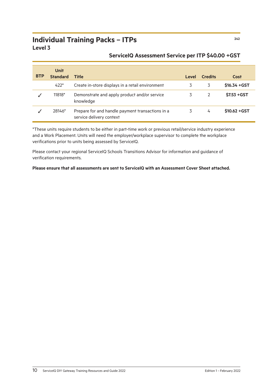### **Individual Training Packs – ITPs <sup>242</sup> Level 3**

| <b>BTP</b> | <b>Unit</b><br><b>Standard</b> | <b>Title</b>                                                                 | Level | <b>Credits</b> | Cost           |
|------------|--------------------------------|------------------------------------------------------------------------------|-------|----------------|----------------|
|            | $422*$                         | Create in-store displays in a retail environment                             |       | 3              | $$16.34 + GST$ |
|            | 11818*                         | Demonstrate and apply product and/or service<br>knowledge                    |       | $\mathcal{P}$  | $$7.53 + GST$  |
|            | 28146*                         | Prepare for and handle payment transactions in a<br>service delivery context | 3     | 4              | $$10.62 + GST$ |

#### **ServiceIQ Assessment Service per ITP \$40.00 +GST**

\*These units require students to be either in part-time work or previous retail/service industry experience and a Work Placement. Units will need the employer/workplace supervisor to complete the workplace verifications prior to units being assessed by ServiceIQ.

Please contact your regional ServiceIQ Schools Transitions Advisor for information and guidance of verification requirements.

**Please ensure that all assessments are sent to ServiceIQ with an Assessment Cover Sheet attached.**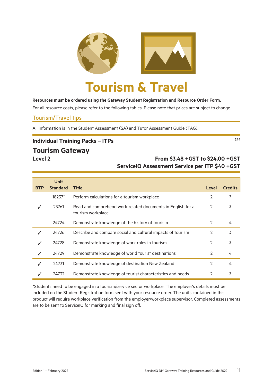<span id="page-13-0"></span>

#### **Resources must be ordered using the Gateway Student Registration and Resource Order Form.**

For all resource costs, please refer to the following tables. Please note that prices are subject to change.

#### Tourism/Travel tips

All information is in the Student Assessment (SA) and Tutor Assessment Guide (TAG).

### **Individual Training Packs – ITPs <sup>244</sup>**

#### **Tourism Gateway**

### **Level 2 From \$3.48 +GST to \$24.00 +GST ServiceIQ Assessment Service per ITP \$40 +GST**

|            | <b>Unit</b>     |                                                                                  |       |                |
|------------|-----------------|----------------------------------------------------------------------------------|-------|----------------|
| <b>BTP</b> | <b>Standard</b> | <b>Title</b>                                                                     | Level | <b>Credits</b> |
|            | 18237*          | Perform calculations for a tourism workplace                                     | 2     | 3              |
|            | 23761           | Read and comprehend work-related documents in English for a<br>tourism workplace | 2     | 3              |
|            | 24724           | Demonstrate knowledge of the history of tourism                                  | 2     | 4              |
|            | 24726           | Describe and compare social and cultural impacts of tourism                      | 2     | 3              |
|            | 24728           | Demonstrate knowledge of work roles in tourism                                   | 2     | 3              |
|            | 24729           | Demonstrate knowledge of world tourist destinations                              | 2     | 4              |
|            | 24731           | Demonstrate knowledge of destination New Zealand                                 | 2     | 4              |
|            | 24732           | Demonstrate knowledge of tourist characteristics and needs                       |       | 3              |

\*Students need to be engaged in a tourism/service sector workplace. The employer's details must be included on the Student Registration form sent with your resource order. The units contained in this product will require workplace verification from the employer/workplace supervisor. Completed assessments are to be sent to ServiceIQ for marking and final sign off.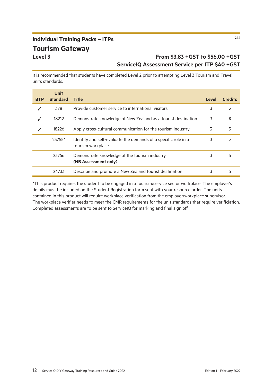# **Individual Training Packs – ITPs <sup>244</sup> Tourism Gateway**

### **Level 3 From \$3.83 +GST to \$56.00 +GST ServiceIQ Assessment Service per ITP \$40 +GST**

It is recommended that students have completed Level 2 prior to attempting Level 3 Tourism and Travel units standards.

| <b>BTP</b> | <b>Unit</b><br><b>Standard</b> | <b>Title</b>                                                                        | Level | <b>Credits</b> |
|------------|--------------------------------|-------------------------------------------------------------------------------------|-------|----------------|
|            |                                |                                                                                     |       |                |
|            | 378                            | Provide customer service to international visitors                                  | 3     | 3              |
|            | 18212                          | Demonstrate knowledge of New Zealand as a tourist destination                       | 3     | 8              |
|            | 18226                          | Apply cross-cultural communication for the tourism industry                         | 3     | 3              |
|            | 23755*                         | Identify and self-evaluate the demands of a specific role in a<br>tourism workplace | 3     | 3              |
|            | 23766                          | Demonstrate knowledge of the tourism industry<br>(NB Assessment only)               | 3     | 5              |
|            | 24733                          | Describe and promote a New Zealand tourist destination                              | 3     | 5              |

\*This product requires the student to be engaged in a tourism/service sector workplace. The employer's details must be included on the Student Registration form sent with your resource order. The units contained in this product will require workplace verification from the employer/workplace supervisor. The workplace verifier needs to meet the CMR requirements for the unit standards that require verificiation. Completed assessments are to be sent to ServiceIQ for marking and final sign off.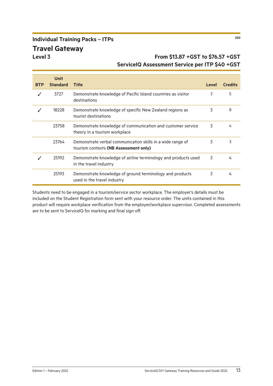# **Individual Training Packs – ITPs <sup>250</sup> Travel Gateway**

### **Level 3 From \$13.87 +GST to \$76.57 +GST ServiceIQ Assessment Service per ITP \$40 +GST**

|            | <b>Unit</b>     |                                                                                                     |       |                |
|------------|-----------------|-----------------------------------------------------------------------------------------------------|-------|----------------|
| <b>BTP</b> | <b>Standard</b> | <b>Title</b>                                                                                        | Level | <b>Credits</b> |
|            | 3727            | Demonstrate knowledge of Pacific Island countries as visitor<br>destinations                        | 3     | 5              |
|            | 18228           | Demonstrate knowledge of specific New Zealand regions as<br>tourist destinations                    | 3     | 8              |
|            | 23758           | Demonstrate knowledge of communication and customer service<br>theory in a tourism workplace        | 3     | 4              |
|            | 23764           | Demonstrate verbal communication skills in a wide range of<br>tourism contexts (NB Assessment only) | 3     | 3              |
|            | 25192           | Demonstrate knowledge of airline terminology and products used<br>in the travel industry            | 3     | 4              |
|            | 25193           | Demonstrate knowledge of ground terminology and products<br>used in the travel industry             | 3     | 4              |

Students need to be engaged in a tourism/service sector workplace. The employer's details must be included on the Student Registration form sent with your resource order. The units contained in this product will require workplace verification from the employer/workplace supervisor. Completed assessments are to be sent to ServiceIQ for marking and final sign off.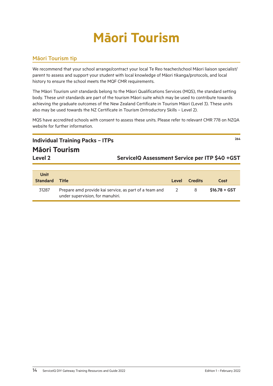# **Māori Tourism**

#### <span id="page-16-0"></span>Māori Tourism tip

We recommend that your school arrange/contract your local Te Reo teacher/school Māori liaison specialist/ parent to assess and support your student with local knowledge of Māori tikanga/protocols, and local history to ensure the school meets the MQF CMR requirements.

The Māori Tourism unit standards belong to the Māori Qualifications Services (MQS), the standard setting body. These unit standards are part of the tourism Māori suite which may be used to contribute towards achieving the graduate outcomes of the New Zealand Certificate in Tourism Māori (Level 3). These units also may be used towards the NZ Certificate in Tourism (Introductory Skills – Level 2).

MQS have accredited schools with consent to assess these units. Please refer to relevant CMR 778 on NZQA website for further information.

| <b>Individual Training Packs - ITPs</b> | 264                                             |
|-----------------------------------------|-------------------------------------------------|
| <b>Māori Tourism</b>                    |                                                 |
| Level 2                                 | ServicelQ Assessment Service per ITP \$40 + GST |
|                                         |                                                 |

| Unit<br><b>Standard Title</b> |                                                                                            | Level          | <b>Credits</b> | Cost           |
|-------------------------------|--------------------------------------------------------------------------------------------|----------------|----------------|----------------|
| 31287                         | Prepare amd provide kai service, as part of a team and<br>under supervision, for manuhiri. | $\overline{2}$ | - 8            | $$16.78 + GST$ |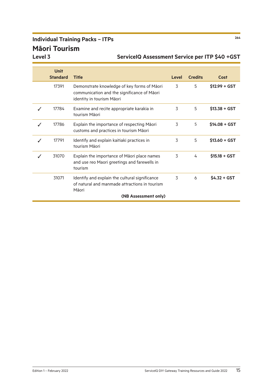# **Individual Training Packs – ITPs <sup>264</sup> Māori Tourism**

| <b>Unit</b>     |                                                                                                                         |       |                |                |
|-----------------|-------------------------------------------------------------------------------------------------------------------------|-------|----------------|----------------|
| <b>Standard</b> | <b>Title</b>                                                                                                            | Level | <b>Credits</b> | <b>Cost</b>    |
| 17391           | Demonstrate knowledge of key forms of Māori<br>communication and the significance of Maori<br>identity in tourism Māori | 3     | 5              | $$12.99 + GST$ |
| 17784           | Examine and recite appropriate karakia in<br>tourism Māori                                                              | 3     | 5              | $$13.38 + GST$ |
| 17786           | Explain the importance of respecting Maori<br>customs and practices in tourism Māori                                    | 3     | 5              | $$14.08 + GST$ |
| 17791           | Identify and explain kaitiaki practices in<br>tourism Māori                                                             | 3     | 5              | $$13.60 + GST$ |
| 31070           | Explain the importance of Māori place names<br>and use reo Maori greetings and farewells in<br>tourism                  | 3     | 4              | $$15.18 + GST$ |
| 31071           | Identify and explain the cultural significance<br>of natural and manmade attractions in tourism<br>Māori                | 3     | 6              | $S4.32 + GST$  |
|                 | (NB Assessment only)                                                                                                    |       |                |                |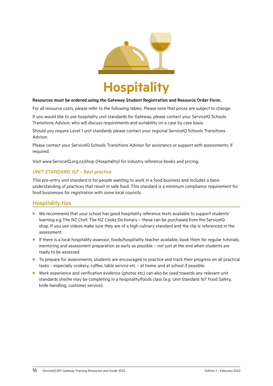<span id="page-18-0"></span>

#### **Resources must be ordered using the Gateway Student Registration and Resource Order Form.**

For all resource costs, please refer to the following tables. Please note that prices are subject to change.

If you would like to use hospitality unit standards for Gateway, please contact your ServiceIQ Schools Transitions Advisor, who will discuss requirements and suitability on a case by case basis.

Should you require Level 1 unit standards please contact your regional ServiceIQ Schools Transitions Advisor.

Please contact your ServiceIQ Schools Transitions Advisor for assistance or support with assessments, if required.

[Visit www.ServiceIQ.org.nz/shop](http://www.ServiceIQ.org.nz/shop) (Hospitality) for industry reference books and pricing.

#### *UNIT STANDARD 167 – Best practice*

This pre-entry unit standard is for people wanting to work in a food business and includes a basic understanding of practices that result in safe food. This standard is a minimum compliance requirement for food businesses for registration with some local councils.

#### Hospitality tips

- $\triangleright$  We recommend that your school has good hospitality reference texts available to support students' learning e.g The NZ Chef; The NZ Cooks Dictionary – these can be purchased from the ServiceIQ shop. If you use videos make sure they are of a high culinary standard and the clip is referenced in the assessment.
- If there is a local hospitality assessor, foods/hospitality teacher available, book them for regular tutorials, mentoring and assessment preparation as early as possible – not just at the end when students are ready to be assessed.
- **D** To prepare for assessments, students are encouraged to practice and track their progress on all practical tasks – especially cookery, coffee, table service etc – at home, and at school if possible.
- $\triangleright$  Work experience and verification evidence (photos etc) can also be used towards any relevant unit standards she/he may be completing in a hospitality/foods class (e.g. Unit Standard 167 Food Safety, knife handling, customer service).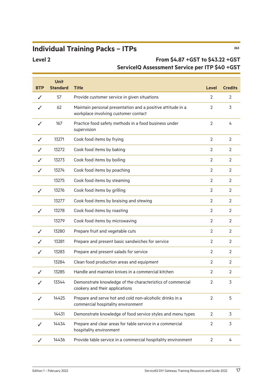# **Individual Training Packs – ITPs <sup>263</sup>**

### **Level 2 From \$4.87 +GST to \$43.22 +GST ServiceIQ Assessment Service per ITP \$40 +GST**

| <b>BTP</b> | <b>Unit</b><br><b>Standard</b> | <b>Title</b>                                                                                        | Level          | <b>Credits</b> |
|------------|--------------------------------|-----------------------------------------------------------------------------------------------------|----------------|----------------|
|            | 57                             | Provide customer service in given situations                                                        |                | 2              |
|            | 62                             | Maintain personal presentation and a positive attitude in a<br>workplace involving customer contact | 2              | 3              |
|            | 167                            | Practice food safety methods in a food business under<br>supervision                                | $\overline{2}$ | 4              |
|            | 13271                          | Cook food items by frying                                                                           | $\overline{2}$ | $\overline{2}$ |
|            | 13272                          | Cook food items by baking                                                                           | 2              | 2              |
|            | 13273                          | Cook food items by boiling                                                                          | 2              | 2              |
|            | 13274                          | Cook food items by poaching                                                                         | 2              | 2              |
|            | 13275                          | Cook food items by steaming                                                                         | 2              | 2              |
|            | 13276                          | Cook food items by grilling                                                                         | 2              | 2              |
|            | 13277                          | Cook food items by braising and stewing                                                             | $\overline{2}$ | 2              |
| J          | 13278                          | Cook food items by roasting                                                                         | 2              | 2              |
|            | 13279                          | Cook food items by microwaving                                                                      | 2              | 2              |
| J          | 13280                          | Prepare fruit and vegetable cuts                                                                    | 2              | 2              |
|            | 13281                          | Prepare and present basic sandwiches for service                                                    | $\overline{2}$ | 2              |
| J          | 13283                          | Prepare and present salads for service                                                              | $\overline{2}$ | 2              |
|            | 13284                          | Clean food production areas and equipment                                                           | 2              | 2              |
|            | 13285                          | Handle and maintain knives in a commercial kitchen                                                  | 2              | 2              |
|            | 13344                          | Demonstrate knowledge of the characteristics of commercial<br>cookery and their applications        | 2              | 3              |
|            | 14425                          | Prepare and serve hot and cold non-alcoholic drinks in a<br>commercial hospitality environment      | 2              | 5              |
|            | 14431                          | Demonstrate knowledge of food service styles and menu types                                         | 2              | 3              |
|            | 14434                          | Prepare and clear areas for table service in a commercial<br>hospitality environment                | $\overline{2}$ | 3              |
|            | 14436                          | Provide table service in a commercial hospitality environment                                       | $\overline{2}$ | 4              |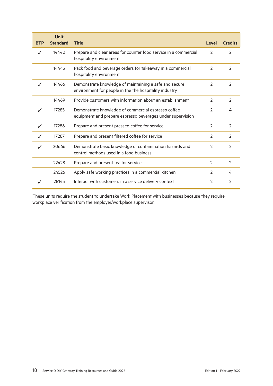| <b>BTP</b> | <b>Unit</b><br><b>Standard</b> | <b>Title</b>                                                                                                      | <b>Level</b>   | <b>Credits</b> |
|------------|--------------------------------|-------------------------------------------------------------------------------------------------------------------|----------------|----------------|
|            | 14440                          | Prepare and clear areas for counter food service in a commercial<br>hospitality environment                       | 2              | $\mathcal{P}$  |
|            | 14443                          | Pack food and beverage orders for takeaway in a commercial<br>hospitality environment                             | $\mathcal{P}$  | $\mathfrak{D}$ |
| J          | 14466                          | Demonstrate knowledge of maintaining a safe and secure<br>environment for people in the the hospitality industry  | $\mathcal{P}$  | $\mathcal{P}$  |
|            | 14469                          | Provide customers with information about an establishment                                                         | 2              | 2              |
|            | 17285                          | Demonstrate knowledge of commercial espresso coffee<br>equipment and prepare espresso beverages under supervision | 2              | 4              |
| J          | 17286                          | Prepare and present pressed coffee for service                                                                    | $\mathcal{P}$  | $\mathcal{P}$  |
|            | 17287                          | Prepare and present filtered coffee for service                                                                   | 2              | 2              |
|            | 20666                          | Demonstrate basic knowledge of contamination hazards and<br>control methods used in a food business               | $\mathcal{P}$  | $\mathcal{P}$  |
|            | 22428                          | Prepare and present tea for service                                                                               | $\overline{2}$ | $\overline{2}$ |
|            | 24526                          | Apply safe working practices in a commercial kitchen                                                              | 2              | 4              |
|            | 28145                          | Interact with customers in a service delivery context                                                             | $\overline{2}$ | $\overline{2}$ |

These units require the student to undertake Work Placement with businesses because they require workplace verification from the employer/workplace supervisor.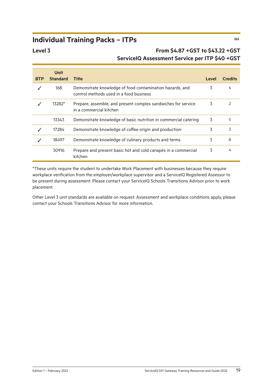# **Individual Training Packs – ITPs <sup>263</sup>**

#### **Level 3 From \$4.87 +GST to \$43.22 +GST ServiceIQ Assessment Service per ITP \$40 +GST**

|            | <b>Unit</b>     |                                                                                                     |       |                |
|------------|-----------------|-----------------------------------------------------------------------------------------------------|-------|----------------|
| <b>BTP</b> | <b>Standard</b> | <b>Title</b>                                                                                        | Level | <b>Credits</b> |
|            | 168             | Demonstrate knowledge of food contamination hazards, and<br>control methods used in a food business | 3     | 4              |
|            | 13282*          | Prepare, assemble, and present complex sandwiches for service<br>in a commercial kitchen            |       | 2              |
|            | 13343           | Demonstrate knowledge of basic nutrition in commercial catering                                     | 3     | 5              |
|            | 17284           | Demonstrate knowledge of coffee origin and production.                                              | 3     | 3              |
|            | 18497           | Demonstrate knowledge of culinary products and terms                                                | 3     | 8              |
|            | 30916           | Prepare and present basic hot and cold canapés in a commercial<br>kitchen                           | 3     | 4              |

\*These units require the student to undertake Work Placement with businesses because they require workplace verification from the employer/workplace supervisor and a ServiceIQ Registered Assessor to be present during assessment. Please contact your ServiceIQ Schools Transitions Advisor prior to work placement.

Other Level 3 unit standards are available on request. Assessment and workplace conditions apply, please contact your Schools Transitions Advisor for more information.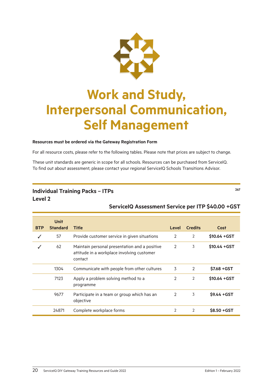

# <span id="page-22-0"></span>**Work and Study, Interpersonal Communication, Self Management**

#### **Resources must be ordered via the Gateway Registration Form**

For all resource costs, please refer to the following tables. Please note that prices are subject to change.

These unit standards are generic in scope for all schools. Resources can be purchased from ServiceIQ. To find out about assessment, please contact your regional ServiceIQ Schools Transitions Advisor.

#### **Individual Training Packs – ITPs <sup>267</sup> Level 2**

#### **ServiceIQ Assessment Service per ITP \$40.00 +GST**

|            | <b>Unit</b>     |                                                                                                        |               |                |                |
|------------|-----------------|--------------------------------------------------------------------------------------------------------|---------------|----------------|----------------|
| <b>BTP</b> | <b>Standard</b> | <b>Title</b>                                                                                           | Level         | <b>Credits</b> | Cost           |
|            | 57              | Provide customer service in given situations                                                           | 2             | 2              | \$10.64 + GST  |
|            | 62              | Maintain personal presentation and a positive<br>attitude in a workplace involving customer<br>contact | 2             | 3              | $$10.44 + GST$ |
|            | 1304            | Communicate with people from other cultures                                                            | 3             | 2              | \$7.68 + GST   |
|            | 7123            | Apply a problem solving method to a<br>programme                                                       | $\mathcal{P}$ | 2              | $$10.64 + GST$ |
|            | 9677            | Participate in a team or group which has an<br>objective                                               | 2             | 3              | $$9.44 + GST$  |
|            | 24871           | Complete workplace forms                                                                               | 2             | 2              | \$8.50 + GST   |